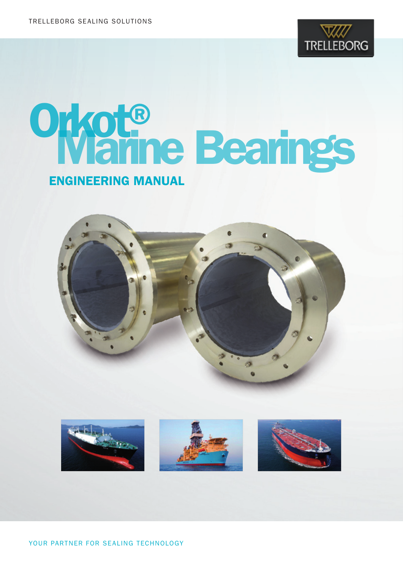

# Orkot®<br>Warine Bearings ENGINEERING MANUAL



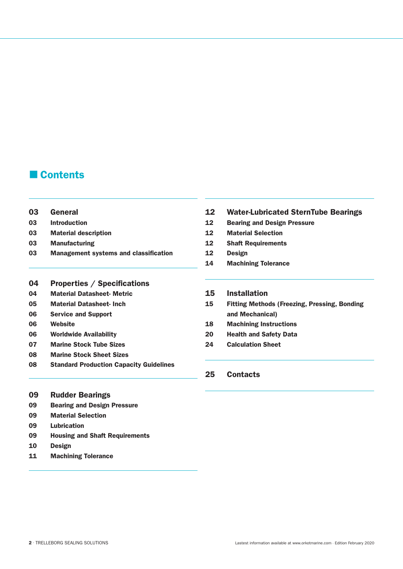## Contents

- General
- Introduction
- Material description
- Manufacturing
- Management systems and classification

#### Properties / Specifications

- Material Datasheet- Metric
- Material Datasheet- Inch
- Service and Support
- Website
- Worldwide Availability
- Marine Stock Tube Sizes
- Marine Stock Sheet Sizes
- Standard Production Capacity Guidelines
- Rudder Bearings
- Bearing and Design Pressure
- Material Selection
- Lubrication
- Housing and Shaft Requirements
- Design
- Machining Tolerance
- Water-Lubricated SternTube Bearings
- Bearing and Design Pressure
- Material Selection
- Shaft Requirements
- Design
- Machining Tolerance
- Installation
- Fitting Methods (Freezing, Pressing, Bonding and Mechanical)
- Machining Instructions
- Health and Safety Data
- Calculation Sheet
- Contacts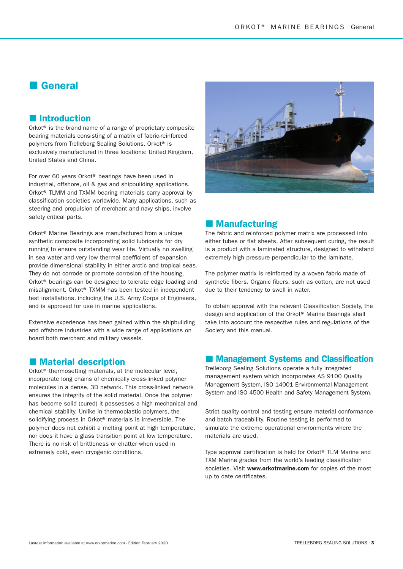## General

### **Introduction**

Orkot® is the brand name of a range of proprietary composite bearing materials consisting of a matrix of fabric-reinforced polymers from Trelleborg Sealing Solutions. Orkot® is exclusively manufactured in three locations: United Kingdom, United States and China.

For over 60 years Orkot® bearings have been used in industrial, offshore, oil & gas and shipbuilding applications. Orkot® TLMM and TXMM bearing materials carry approval by classification societies worldwide. Many applications, such as steering and propulsion of merchant and navy ships, involve safety critical parts.

Orkot® Marine Bearings are manufactured from a unique synthetic composite incorporating solid lubricants for dry running to ensure outstanding wear life. Virtually no swelling in sea water and very low thermal coefficient of expansion provide dimensional stability in either arctic and tropical seas. They do not corrode or promote corrosion of the housing. Orkot® bearings can be designed to tolerate edge loading and misalignment. Orkot® TXMM has been tested in independent test installations, including the U.S. Army Corps of Engineers, and is approved for use in marine applications.

Extensive experience has been gained within the shipbuilding and offshore industries with a wide range of applications on board both merchant and military vessels.

### **Material description**

Orkot® thermosetting materials, at the molecular level, incorporate long chains of chemically cross-linked polymer molecules in a dense, 3D network. This cross-linked network ensures the integrity of the solid material. Once the polymer has become solid (cured) it possesses a high mechanical and chemical stability. Unlike in thermoplastic polymers, the solidifying process in Orkot<sup>®</sup> materials is irreversible. The polymer does not exhibit a melting point at high temperature, nor does it have a glass transition point at low temperature. There is no risk of brittleness or chatter when used in extremely cold, even cryogenic conditions.



### **Manufacturing**

The fabric and reinforced polymer matrix are processed into either tubes or flat sheets. After subsequent curing, the result is a product with a laminated structure, designed to withstand extremely high pressure perpendicular to the laminate.

The polymer matrix is reinforced by a woven fabric made of synthetic fibers. Organic fibers, such as cotton, are not used due to their tendency to swell in water.

To obtain approval with the relevant Classification Society, the design and application of the Orkot® Marine Bearings shall take into account the respective rules and regulations of the Society and this manual.

#### **Management Systems and Classification**

Trelleborg Sealing Solutions operate a fully integrated management system which incorporates AS 9100 Quality Management System, ISO 14001 Environmental Management System and ISO 4500 Health and Safety Management System.

Strict quality control and testing ensure material conformance and batch traceability. Routine testing is performed to simulate the extreme operational environments where the materials are used.

Type approval certification is held for Orkot® TLM Marine and TXM Marine grades from the world's leading classification societies. Visit www.orkotmarine.com for copies of the most up to date certificates.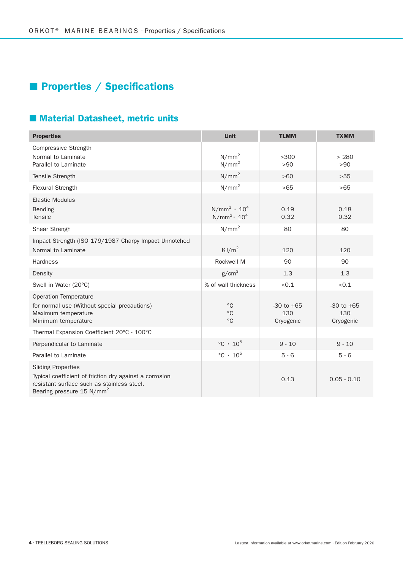# **Properties / Specifications**

## **Material Datasheet, metric units**

| <b>Properties</b>                                                                                                                                                           | <b>Unit</b>                                | <b>TLMM</b>                        | <b>TXMM</b>                        |
|-----------------------------------------------------------------------------------------------------------------------------------------------------------------------------|--------------------------------------------|------------------------------------|------------------------------------|
| Compressive Strength<br>Normal to Laminate<br>Parallel to Laminate                                                                                                          | N/mm <sup>2</sup><br>N/mm <sup>2</sup>     | >300<br>>90                        | > 280<br>>90                       |
| Tensile Strength                                                                                                                                                            | N/mm <sup>2</sup>                          | >60                                | >55                                |
| <b>Flexural Strength</b>                                                                                                                                                    | N/mm <sup>2</sup>                          | >65                                | >65                                |
| <b>Elastic Modulus</b><br>Bending<br>Tensile                                                                                                                                | $N/mm^2 \cdot 10^4$<br>$N/mm^2 \cdot 10^4$ | 0.19<br>0.32                       | 0.18<br>0.32                       |
| Shear Strengh                                                                                                                                                               | N/mm <sup>2</sup>                          | 80                                 | 80                                 |
| Impact Strength (ISO 179/1987 Charpy Impact Unnotched<br>Normal to Laminate                                                                                                 | KJ/m <sup>2</sup>                          | 120                                | 120                                |
| <b>Hardness</b>                                                                                                                                                             | Rockwell M                                 | 90                                 | 90                                 |
| Density                                                                                                                                                                     | g/cm <sup>3</sup>                          | 1.3                                | 1.3                                |
| Swell in Water (20°C)                                                                                                                                                       | % of wall thickness                        | < 0.1                              | < 0.1                              |
| Operation Temperature<br>for normal use (Without special precautions)<br>Maximum temperature<br>Minimum temperature                                                         | $^{\circ}$ C<br>$\circ$ C<br>$^{\circ}$ C  | $-30$ to $+65$<br>130<br>Cryogenic | $-30$ to $+65$<br>130<br>Cryogenic |
| Thermal Expansion Coefficient 20°C - 100°C                                                                                                                                  |                                            |                                    |                                    |
| Perpendicular to Laminate                                                                                                                                                   | $\degree$ C · 10 <sup>5</sup>              | $9 - 10$                           | $9 - 10$                           |
| Parallel to Laminate                                                                                                                                                        | $\degree$ C · 10 <sup>5</sup>              | $5 - 6$                            | $5 - 6$                            |
| <b>Sliding Properties</b><br>Typical coefficient of friction dry against a corrosion<br>resistant surface such as stainless steel.<br>Bearing pressure 15 N/mm <sup>2</sup> |                                            | 0.13                               | $0.05 - 0.10$                      |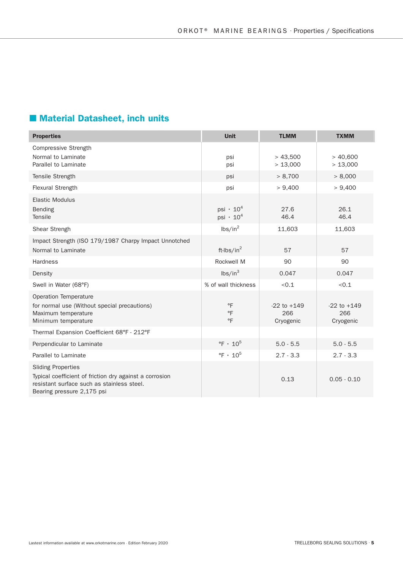## Material Datasheet, inch units

| <b>Properties</b>                                                                                                                                                | <b>Unit</b>                                                | <b>TLMM</b>                         | <b>TXMM</b>                         |
|------------------------------------------------------------------------------------------------------------------------------------------------------------------|------------------------------------------------------------|-------------------------------------|-------------------------------------|
| Compressive Strength<br>Normal to Laminate<br>Parallel to Laminate                                                                                               | psi<br>psi                                                 | > 43,500<br>> 13,000                | > 40,600<br>> 13,000                |
| Tensile Strength                                                                                                                                                 | psi                                                        | > 8,700                             | > 8,000                             |
| Flexural Strength                                                                                                                                                | psi                                                        | > 9,400                             | > 9,400                             |
| <b>Elastic Modulus</b><br>Bending<br>Tensile                                                                                                                     | psi $\cdot$ 10 <sup>4</sup><br>psi $\cdot$ 10 <sup>4</sup> | 27.6<br>46.4                        | 26.1<br>46.4                        |
| Shear Strengh                                                                                                                                                    | $\text{lbs/in}^2$                                          | 11,603                              | 11,603                              |
| Impact Strength (ISO 179/1987 Charpy Impact Unnotched<br>Normal to Laminate                                                                                      | ft-lbs/in $^2$                                             | 57                                  | 57                                  |
| <b>Hardness</b>                                                                                                                                                  | Rockwell M                                                 | 90                                  | 90                                  |
| Density                                                                                                                                                          | lbs/in <sup>3</sup>                                        | 0.047                               | 0.047                               |
| Swell in Water (68°F)                                                                                                                                            | % of wall thickness                                        | < 0.1                               | < 0.1                               |
| <b>Operation Temperature</b><br>for normal use (Without special precautions)<br>Maximum temperature<br>Minimum temperature                                       | $\circ$ F<br>$\circ$ F<br>$\circ$ F                        | $-22$ to $+149$<br>266<br>Cryogenic | $-22$ to $+149$<br>266<br>Cryogenic |
| Thermal Expansion Coefficient 68°F - 212°F                                                                                                                       |                                                            |                                     |                                     |
| Perpendicular to Laminate                                                                                                                                        | $\degree$ F · 10 <sup>5</sup>                              | $5.0 - 5.5$                         | $5.0 - 5.5$                         |
| Parallel to Laminate                                                                                                                                             | $\degree$ F · 10 <sup>5</sup>                              | $2.7 - 3.3$                         | $2.7 - 3.3$                         |
| <b>Sliding Properties</b><br>Typical coefficient of friction dry against a corrosion<br>resistant surface such as stainless steel.<br>Bearing pressure 2,175 psi |                                                            | 0.13                                | $0.05 - 0.10$                       |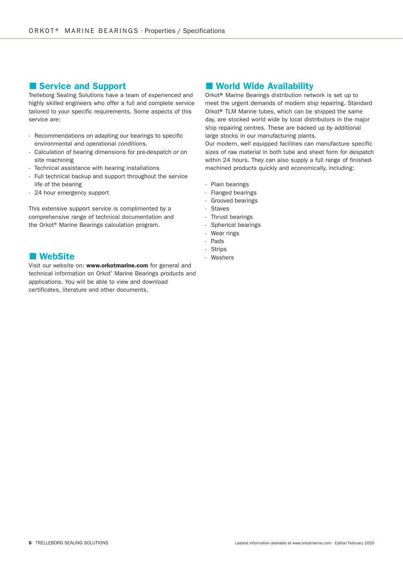#### Service and Support

Trelleborg Sealing Solutions have a team of experienced and highly skilled engineers who offer a full and complete service tailored to your specific requirements. Some aspects of this service are:

- Recommendations on adapting our bearings to specific environmental and operational conditions.
- Calculation of bearing dimensions for pre-despatch or on site machining
- Technical assistance with bearing installations
- Full technical backup and support throughout the service life of the bearing
- 24 hour emergency support

This extensive support service is complimented by a comprehensive range of technical documentation and the Orkot® Marine Bearings calculation program.

### **NebSite**

Visit our website on: www.orkotmarine.com for general and technical information on Orkot® Marine Bearings products and applications. You will be able to view and download certificates, literature and other documents.

## **Norld Wide Availability**

Orkot® Marine Bearings distribution network is set up to meet the urgent demands of modern ship repairing. Standard Orkot® TLM Marine tubes, which can be shipped the same day, are stocked world wide by local distributors in the major ship repairing centres. These are backed up by additional large stocks in our manufacturing plants.

Our modern, well equipped facilities can manufacture specific sizes of raw material in both tube and sheet form for despatch within 24 hours. They can also supply a full range of finishedmachined products quickly and economically, including:

- Plain bearings
- Flanged bearings
- Grooved bearings
- Staves
- Thrust bearings
- Spherical bearings
- Wear rings
- Pads
- Strips
- Washers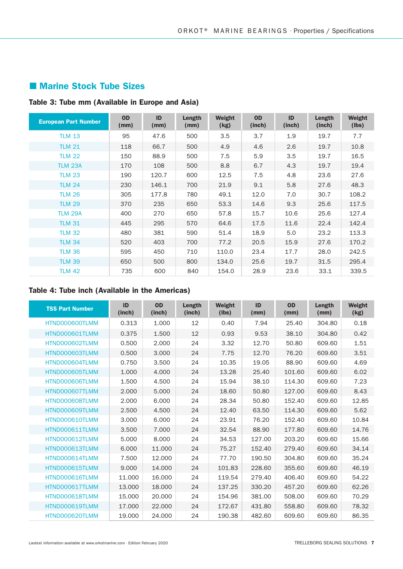## **Marine Stock Tube Sizes**

## Table 3: Tube mm (Available in Europe and Asia)

| <b>European Part Number</b> | <b>OD</b><br>(mm) | ID<br>(mm) | Length<br>(mm) | Weight<br>(kg) | <b>OD</b><br>(inch) | ID<br>(inch) | Length<br>(inch) | Weight<br>(lbs) |
|-----------------------------|-------------------|------------|----------------|----------------|---------------------|--------------|------------------|-----------------|
| <b>TLM 13</b>               | 95                | 47.6       | 500            | 3.5            | 3.7                 | 1.9          | 19.7             | 7.7             |
| <b>TLM 21</b>               | 118               | 66.7       | 500            | 4.9            | 4.6                 | 2.6          | 19.7             | 10.8            |
| <b>TLM 22</b>               | 150               | 88.9       | 500            | 7.5            | 5.9                 | 3.5          | 19.7             | 16.5            |
| <b>TLM 23A</b>              | 170               | 108        | 500            | 8.8            | 6.7                 | 4.3          | 19.7             | 19.4            |
| <b>TLM 23</b>               | 190               | 120.7      | 600            | 12.5           | 7.5                 | 4.8          | 23.6             | 27.6            |
| <b>TLM 24</b>               | 230               | 146.1      | 700            | 21.9           | 9.1                 | 5.8          | 27.6             | 48.3            |
| <b>TLM 26</b>               | 305               | 177.8      | 780            | 49.1           | 12.0                | 7.0          | 30.7             | 108.2           |
| <b>TLM 29</b>               | 370               | 235        | 650            | 53.3           | 14.6                | 9.3          | 25.6             | 117.5           |
| <b>TLM 29A</b>              | 400               | 270        | 650            | 57.8           | 15.7                | 10.6         | 25.6             | 127.4           |
| <b>TLM 31</b>               | 445               | 295        | 570            | 64.6           | 17.5                | 11.6         | 22.4             | 142.4           |
| <b>TLM 32</b>               | 480               | 381        | 590            | 51.4           | 18.9                | 5.0          | 23.2             | 113.3           |
| <b>TLM 34</b>               | 520               | 403        | 700            | 77.2           | 20.5                | 15.9         | 27.6             | 170.2           |
| <b>TLM 36</b>               | 595               | 450        | 710            | 110.0          | 23.4                | 17.7         | 28.0             | 242.5           |
| <b>TLM 39</b>               | 650               | 500        | 800            | 134.0          | 25.6                | 19.7         | 31.5             | 295.4           |
| <b>TLM 42</b>               | 735               | 600        | 840            | 154.0          | 28.9                | 23.6         | 33.1             | 339.5           |

## Table 4: Tube inch (Available in the Americas)

| <b>TSS Part Number</b> | ID<br>(inch) | <b>OD</b><br>(inch) | Length<br>(inch) | Weight<br>(lbs) | ID<br>(mm) | <b>OD</b><br>(mm) | Length<br>(mm) | Weight<br>(kg) |
|------------------------|--------------|---------------------|------------------|-----------------|------------|-------------------|----------------|----------------|
| HTND000600TLMM         | 0.313        | 1.000               | 12               | 0.40            | 7.94       | 25.40             | 304.80         | 0.18           |
| HTND000601TLMM         | 0.375        | 1.500               | 12               | 0.93            | 9.53       | 38.10             | 304.80         | 0.42           |
| HTND000602TLMM         | 0.500        | 2.000               | 24               | 3.32            | 12.70      | 50.80             | 609.60         | 1.51           |
| HTND000603TLMM         | 0.500        | 3.000               | 24               | 7.75            | 12.70      | 76.20             | 609.60         | 3.51           |
| HTND000604TLMM         | 0.750        | 3.500               | 24               | 10.35           | 19.05      | 88.90             | 609.60         | 4.69           |
| HTND000605TLMM         | 1.000        | 4.000               | 24               | 13.28           | 25.40      | 101.60            | 609.60         | 6.02           |
| HTND000606TLMM         | 1.500        | 4.500               | 24               | 15.94           | 38.10      | 114.30            | 609.60         | 7.23           |
| HTND000607TLMM         | 2.000        | 5.000               | 24               | 18.60           | 50.80      | 127.00            | 609.60         | 8.43           |
| HTND000608TLMM         | 2.000        | 6.000               | 24               | 28.34           | 50.80      | 152.40            | 609.60         | 12.85          |
| HTND000609TLMM         | 2.500        | 4.500               | 24               | 12.40           | 63.50      | 114.30            | 609.60         | 5.62           |
| HTND000610TLMM         | 3.000        | 6.000               | 24               | 23.91           | 76.20      | 152.40            | 609.60         | 10.84          |
| HTND000611TLMM         | 3.500        | 7.000               | 24               | 32.54           | 88.90      | 177.80            | 609.60         | 14.76          |
| HTND000612TLMM         | 5.000        | 8.000               | 24               | 34.53           | 127.00     | 203.20            | 609.60         | 15.66          |
| HTND000613TLMM         | 6.000        | 11.000              | 24               | 75.27           | 152.40     | 279.40            | 609.60         | 34.14          |
| HTND000614TLMM         | 7.500        | 12.000              | 24               | 77.70           | 190.50     | 304.80            | 609.60         | 35.24          |
| HTND000615TLMM         | 9.000        | 14.000              | 24               | 101.83          | 228.60     | 355.60            | 609.60         | 46.19          |
| HTND000616TLMM         | 11.000       | 16,000              | 24               | 119.54          | 279.40     | 406.40            | 609.60         | 54.22          |
| HTND000617TLMM         | 13,000       | 18,000              | 24               | 137.25          | 330.20     | 457.20            | 609.60         | 62.26          |
| HTND000618TLMM         | 15,000       | 20,000              | 24               | 154.96          | 381.00     | 508.00            | 609.60         | 70.29          |
| HTND000619TLMM         | 17,000       | 22,000              | 24               | 172.67          | 431.80     | 558.80            | 609.60         | 78.32          |
| HTND000620TLMM         | 19,000       | 24.000              | 24               | 190.38          | 482.60     | 609.60            | 609.60         | 86.35          |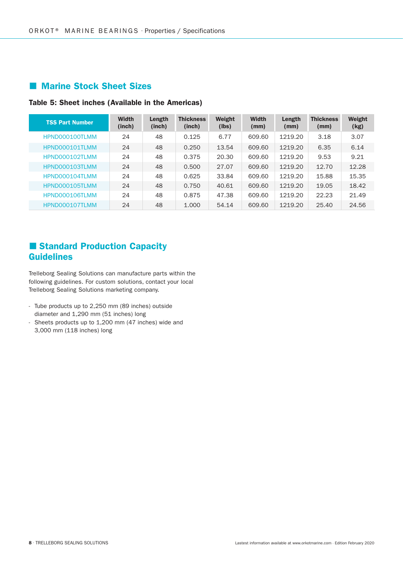## **Marine Stock Sheet Sizes**

#### Table 5: Sheet inches (Available in the Americas)

| <b>TSS Part Number</b> | <b>Width</b><br>(inch) | Length<br>(inch) | <b>Thickness</b><br>(inch) | Weight<br>(lbs) | <b>Width</b><br>(mm) | Length<br>(mm) | <b>Thickness</b><br>(mm) | Weight<br>(kg) |
|------------------------|------------------------|------------------|----------------------------|-----------------|----------------------|----------------|--------------------------|----------------|
| HPND000100TLMM         | 24                     | 48               | 0.125                      | 6.77            | 609.60               | 1219.20        | 3.18                     | 3.07           |
| HPND000101TLMM         | 24                     | 48               | 0.250                      | 13.54           | 609.60               | 1219.20        | 6.35                     | 6.14           |
| HPND000102TLMM         | 24                     | 48               | 0.375                      | 20.30           | 609.60               | 1219.20        | 9.53                     | 9.21           |
| HPND000103TLMM         | 24                     | 48               | 0.500                      | 27.07           | 609.60               | 1219.20        | 12.70                    | 12.28          |
| HPND000104TLMM         | 24                     | 48               | 0.625                      | 33.84           | 609.60               | 1219.20        | 15.88                    | 15.35          |
| HPND000105TLMM         | 24                     | 48               | 0.750                      | 40.61           | 609.60               | 1219.20        | 19.05                    | 18.42          |
| HPND000106TLMM         | 24                     | 48               | 0.875                      | 47.38           | 609.60               | 1219.20        | 22.23                    | 21.49          |
| HPND000107TLMM         | 24                     | 48               | 1.000                      | 54.14           | 609.60               | 1219.20        | 25.40                    | 24.56          |

## Standard Production Capacity Guidelines

Trelleborg Sealing Solutions can manufacture parts within the following guidelines. For custom solutions, contact your local Trelleborg Sealing Solutions marketing company.

- Tube products up to 2,250 mm (89 inches) outside diameter and 1,290 mm (51 inches) long
- Sheets products up to 1,200 mm (47 inches) wide and 3,000 mm (118 inches) long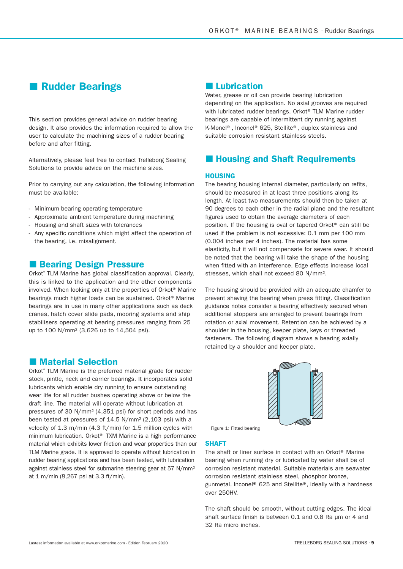## **Rudder Bearings**

This section provides general advice on rudder bearing design. It also provides the information required to allow the user to calculate the machining sizes of a rudder bearing before and after fitting.

Alternatively, please feel free to contact Trelleborg Sealing Solutions to provide advice on the machine sizes.

Prior to carrying out any calculation, the following information must be available:

- Minimum bearing operating temperature
- Approximate ambient temperature during machining
- Housing and shaft sizes with tolerances
- Any specific conditions which might affect the operation of the bearing, i.e. misalignment.

#### **Bearing Design Pressure**

Orkot® TLM Marine has global classification approval. Clearly, this is linked to the application and the other components involved. When looking only at the properties of Orkot® Marine bearings much higher loads can be sustained. Orkot® Marine bearings are in use in many other applications such as deck cranes, hatch cover slide pads, mooring systems and ship stabilisers operating at bearing pressures ranging from 25 up to 100 N/mm2 (3,626 up to 14,504 psi).

### **Material Selection**

Orkot® TLM Marine is the preferred material grade for rudder stock, pintle, neck and carrier bearings. It incorporates solid lubricants which enable dry running to ensure outstanding wear life for all rudder bushes operating above or below the draft line. The material will operate without lubrication at pressures of 30 N/mm2 (4,351 psi) for short periods and has been tested at pressures of 14.5 N/mm2 (2,103 psi) with a velocity of 1.3 m/min (4.3 ft/min) for 1.5 million cycles with minimum lubrication. Orkot® TXM Marine is a high performance material which exhibits lower friction and wear properties than our TLM Marine grade. It is approved to operate without lubrication in rudder bearing applications and has been tested, with lubrication against stainless steel for submarine steering gear at 57 N/mm2 at 1 m/min (8,267 psi at 3.3 ft/min).

## **Lubrication**

Water, grease or oil can provide bearing lubrication depending on the application. No axial grooves are required with lubricated rudder bearings. Orkot® TLM Marine rudder bearings are capable of intermittent dry running against K-Monel®, Inconel® 625, Stellite®, duplex stainless and suitable corrosion resistant stainless steels.

## **Housing and Shaft Requirements**

#### **HOUSING**

The bearing housing internal diameter, particularly on refits, should be measured in at least three positions along its length. At least two measurements should then be taken at 90 degrees to each other in the radial plane and the resultant figures used to obtain the average diameters of each position. If the housing is oval or tapered Orkot® can still be used if the problem is not excessive: 0.1 mm per 100 mm (0.004 inches per 4 inches). The material has some elasticity, but it will not compensate for severe wear. It should be noted that the bearing will take the shape of the housing when fitted with an interference. Edge effects increase local stresses, which shall not exceed 80 N/mm².

The housing should be provided with an adequate chamfer to prevent shaving the bearing when press fitting. Classification guidance notes consider a bearing effectively secured when additional stoppers are arranged to prevent bearings from rotation or axial movement. Retention can be achieved by a shoulder in the housing, keeper plate, keys or threaded fasteners. The following diagram shows a bearing axially retained by a shoulder and keeper plate.



Figure 1: Fitted bearing

#### SHAFT

The shaft or liner surface in contact with an Orkot® Marine bearing when running dry or lubricated by water shall be of corrosion resistant material. Suitable materials are seawater corrosion resistant stainless steel, phosphor bronze, gunmetal, Inconel® 625 and Stellite®, ideally with a hardness over 250HV.

The shaft should be smooth, without cutting edges. The ideal shaft surface finish is between 0.1 and 0.8 Ra um or 4 and 32 Ra micro inches.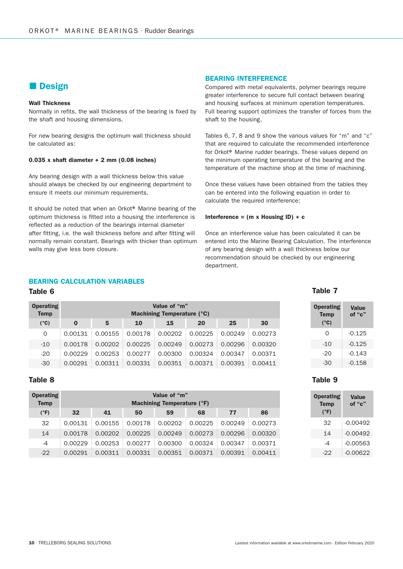## **Design**

#### Wall Thickness

Normally in refits, the wall thickness of the bearing is fixed by the shaft and housing dimensions.

For new bearing designs the optimum wall thickness should be calculated as:

#### 0.035 x shaft diameter  $+ 2$  mm (0.08 inches)

Any bearing design with a wall thickness below this value should always be checked by our engineering department to ensure it meets our minimum requirements.

It should be noted that when an Orkot® Marine bearing of the optimum thickness is fitted into a housing the interference is reflected as a reduction of the bearings internal diameter after fitting, i.e. the wall thickness before and after fitting will normally remain constant. Bearings with thicker than optimum walls may give less bore closure.

#### BEARING INTERFERENCE

Compared with metal equivalents, polymer bearings require greater interference to secure full contact between bearing and housing surfaces at minimum operation temperatures. Full bearing support optimizes the transfer of forces from the shaft to the housing.

Tables 6, 7, 8 and 9 show the various values for "m" and "c" that are required to calculate the recommended interference for Orkot® Marine rudder bearings. These values depend on the minimum operating temperature of the bearing and the temperature of the machine shop at the time of machining.

Once these values have been obtained from the tables they can be entered into the following equation in order to calculate the required interference:

#### Interference =  $(m \times$  Housing ID) + c

Once an interference value has been calculated it can be entered into the Marine Bearing Calculation. The interference of any bearing design with a wall thickness below our recommendation should be checked by our engineering department.

#### BEARING CALCULATION VARIABLES

#### Table 6

| <b>Operating</b><br>Temp |         | Value of "m"<br>Machining Temperature (°C) |         |         |         |         |         |  |
|--------------------------|---------|--------------------------------------------|---------|---------|---------|---------|---------|--|
| $(^{\circ}C)$            | 0       | 5                                          | 10      | 15      | 20      | 25      | 30      |  |
| 0                        | 0.00131 | 0.00155                                    | 0.00178 | 0.00202 | 0.00225 | 0.00249 | 0.00273 |  |
| $-10$                    | 0.00178 | 0.00202                                    | 0.00225 | 0.00249 | 0.00273 | 0.00296 | 0.00320 |  |
| $-20$                    | 0.00229 | 0.00253                                    | 0.00277 | 0.00300 | 0.00324 | 0.00347 | 0.00371 |  |
| $-30$                    | 0.00291 | 0.00311                                    | 0.00331 | 0.00351 | 0.00371 | 0.00391 | 0.00411 |  |

#### Table 8

| <b>Operating</b><br><b>Temp</b> |         | Value of "m"<br><b>Machining Temperature (°F)</b> |         |         |         |         |         |  |
|---------------------------------|---------|---------------------------------------------------|---------|---------|---------|---------|---------|--|
| $(^{\circ}F)$                   | 32      | 41                                                | 50      | 59      | 68      | 77      | 86      |  |
| 32                              | 0.00131 | 0.00155                                           | 0.00178 | 0.00202 | 0.00225 | 0.00249 | 0.00273 |  |
| 14                              | 0.00178 | 0.00202                                           | 0.00225 | 0.00249 | 0.00273 | 0.00296 | 0.00320 |  |
| $-4$                            | 0.00229 | 0.00253                                           | 0.00277 | 0.00300 | 0.00324 | 0.00347 | 0.00371 |  |
| $-22$                           | 0.00291 | 0.00311                                           | 0.00331 | 0.00351 | 0.00371 | 0.00391 | 0.00411 |  |

#### Table 7

Table 9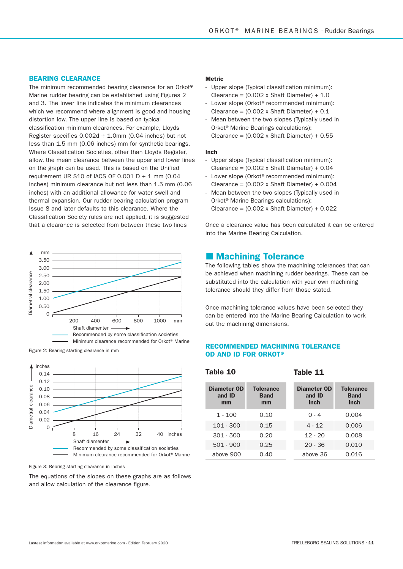#### BEARING CLEARANCE

The minimum recommended bearing clearance for an Orkot® Marine rudder bearing can be established using Figures 2 and 3. The lower line indicates the minimum clearances which we recommend where alignment is good and housing distortion low. The upper line is based on typical classification minimum clearances. For example, Lloyds Register specifies 0.002d + 1.0mm (0.04 inches) but not less than 1.5 mm (0.06 inches) mm for synthetic bearings. Where Classification Societies, other than Lloyds Register, allow, the mean clearance between the upper and lower lines on the graph can be used. This is based on the Unified requirement UR S10 of IACS OF  $0.001$  D + 1 mm  $(0.04)$ inches) minimum clearance but not less than 1.5 mm (0.06 inches) with an additional allowance for water swell and thermal expansion. Our rudder bearing calculation program Issue 8 and later defaults to this clearance. Where the Classification Society rules are not applied, it is suggested that a clearance is selected from between these two lines





Figure 3: Bearing starting clearance in inches

The equations of the slopes on these graphs are as follows and allow calculation of the clearance figure.

#### **Metric**

- Upper slope (Typical classification minimum): Clearance =  $(0.002 \times \text{Shaft Diameter}) + 1.0$
- Lower slope (Orkot<sup>®</sup> recommended minimum): Clearance =  $(0.002 \times \text{Shaft Diameter}) + 0.1$
- Mean between the two slopes (Typically used in Orkot<sup>®</sup> Marine Bearings calculations): Clearance =  $(0.002 \times \text{Shaft Diameter}) + 0.55$

#### Inch

Table 10

- Upper slope (Typical classification minimum): Clearance =  $(0.002 \times \text{Shaft Diameter}) + 0.04$
- Lower slope (Orkot® recommended minimum): Clearance =  $(0.002 \times \text{Shaft Diameter}) + 0.004$
- Mean between the two slopes (Typically used in Orkot<sup>®</sup> Marine Bearings calculations): Clearance =  $(0.002 \times \text{Shaft Diameter}) + 0.022$

Once a clearance value has been calculated it can be entered into the Marine Bearing Calculation.

#### **Machining Tolerance**

The following tables show the machining tolerances that can be achieved when machining rudder bearings. These can be substituted into the calculation with your own machining tolerance should they differ from those stated.

Once machining tolerance values have been selected they can be entered into the Marine Bearing Calculation to work out the machining dimensions.

#### RECOMMENDED MACHINING TOLERANCE Figure 2: Bearing starting clearance in mm<br> **OD AND ID FOR ORKOT®**

Diameter OD and ID mm **Tolerance** Band mm 1 - 100 0.10 101 - 300 0.15 301 - 500 0.20 501 - 900 0.25 above 900 0.40 Diameter OD and ID inch **Tolerance** Band inch  $0 - 4$  0.004 4 - 12 0.006  $12 - 20$  0.008 20 - 36 0.010 above 36 0.016

Table 11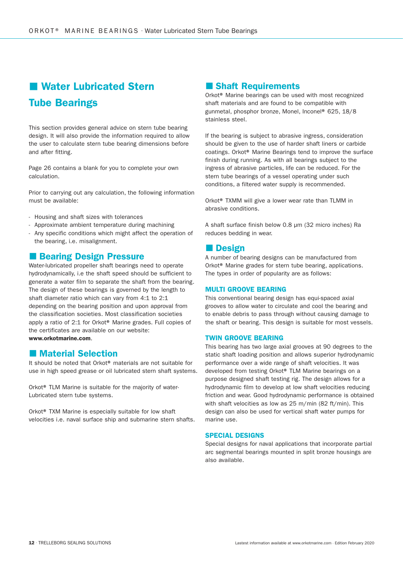# **Water Lubricated Stern** Tube Bearings

This section provides general advice on stern tube bearing design. It will also provide the information required to allow the user to calculate stern tube bearing dimensions before and after fitting.

Page 26 contains a blank for you to complete your own calculation.

Prior to carrying out any calculation, the following information must be available:

- Housing and shaft sizes with tolerances
- Approximate ambient temperature during machining
- Any specific conditions which might affect the operation of the bearing, i.e. misalignment.

#### **Bearing Design Pressure**

Water-lubricated propeller shaft bearings need to operate hydrodynamically, i.e the shaft speed should be sufficient to generate a water film to separate the shaft from the bearing. The design of these bearings is governed by the length to shaft diameter ratio which can vary from 4:1 to 2:1 depending on the bearing position and upon approval from the classification societies. Most classification societies apply a ratio of 2:1 for Orkot® Marine grades. Full copies of the certificates are available on our website: www.orkotmarine.com.

#### **Material Selection**

It should be noted that Orkot® materials are not suitable for use in high speed grease or oil lubricated stern shaft systems.

Orkot® TLM Marine is suitable for the majority of water-Lubricated stern tube systems.

Orkot® TXM Marine is especially suitable for low shaft velocities i.e. naval surface ship and submarine stern shafts.

#### **Shaft Requirements**

Orkot® Marine bearings can be used with most recognized shaft materials and are found to be compatible with gunmetal, phosphor bronze, Monel, Inconel® 625, 18/8 stainless steel.

If the bearing is subject to abrasive ingress, consideration should be given to the use of harder shaft liners or carbide coatings. Orkot® Marine Bearings tend to improve the surface finish during running. As with all bearings subject to the ingress of abrasive particles, life can be reduced. For the stern tube bearings of a vessel operating under such conditions, a filtered water supply is recommended.

Orkot® TXMM will give a lower wear rate than TLMM in abrasive conditions.

A shaft surface finish below 0.8 µm (32 micro inches) Ra reduces bedding in wear.

#### **Design**

A number of bearing designs can be manufactured from Orkot® Marine grades for stern tube bearing, applications. The types in order of popularity are as follows:

#### MULTI GROOVE BEARING

This conventional bearing design has equi-spaced axial grooves to allow water to circulate and cool the bearing and to enable debris to pass through without causing damage to the shaft or bearing. This design is suitable for most vessels.

#### TWIN GROOVE BEARING

This bearing has two large axial grooves at 90 degrees to the static shaft loading position and allows superior hydrodynamic performance over a wide range of shaft velocities. It was developed from testing Orkot® TLM Marine bearings on a purpose designed shaft testing rig. The design allows for a hydrodynamic film to develop at low shaft velocities reducing friction and wear. Good hydrodynamic performance is obtained with shaft velocities as low as 25 m/min (82 ft/min). This design can also be used for vertical shaft water pumps for marine use.

#### SPECIAL DESIGNS

Special designs for naval applications that incorporate partial arc segmental bearings mounted in split bronze housings are also available.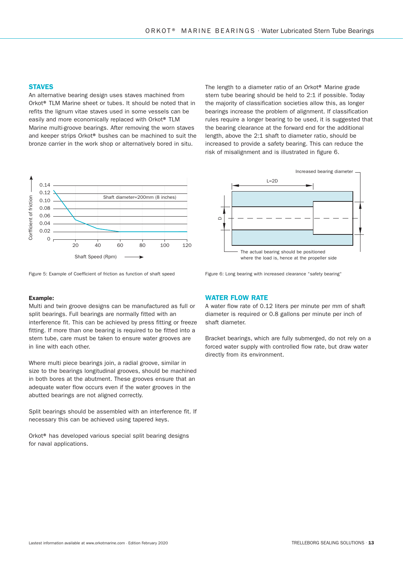#### **STAVES**

An alternative bearing design uses staves machined from Orkot® TLM Marine sheet or tubes. It should be noted that in refits the lignum vitae staves used in some vessels can be easily and more economically replaced with Orkot® TLM Marine multi-groove bearings. After removing the worn staves and keeper strips Orkot® bushes can be machined to suit the bronze carrier in the work shop or alternatively bored in situ.



Figure 5: Example of Coefficient of friction as function of shaft speed

#### Example:

Multi and twin groove designs can be manufactured as full or split bearings. Full bearings are normally fitted with an interference fit. This can be achieved by press fitting or freeze fitting. If more than one bearing is required to be fitted into a stern tube, care must be taken to ensure water grooves are in line with each other.

Where multi piece bearings join, a radial groove, similar in size to the bearings longitudinal grooves, should be machined in both bores at the abutment. These grooves ensure that an adequate water flow occurs even if the water grooves in the abutted bearings are not aligned correctly.

Split bearings should be assembled with an interference fit. If necessary this can be achieved using tapered keys.

Orkot® has developed various special split bearing designs for naval applications.

#### The length to a diameter ratio of an Orkot® Marine grade stern tube bearing should be held to 2:1 if possible. Today the majority of classification societies allow this, as longer bearings increase the problem of alignment. If classification rules require a longer bearing to be used, it is suggested that the bearing clearance at the forward end for the additional length, above the 2:1 shaft to diameter ratio, should be increased to provide a safety bearing. This can reduce the risk of misalignment and is illustrated in figure 6.



Figure 6: Long bearing with increased clearance "safety bearing"

#### WATER FLOW RATE

A water flow rate of 0.12 liters per minute per mm of shaft diameter is required or 0.8 gallons per minute per inch of shaft diameter.

Bracket bearings, which are fully submerged, do not rely on a forced water supply with controlled flow rate, but draw water directly from its environment.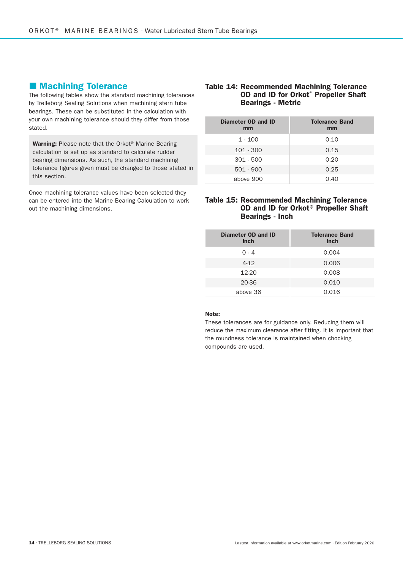#### **Machining Tolerance**

The following tables show the standard machining tolerances by Trelleborg Sealing Solutions when machining stern tube bearings. These can be substituted in the calculation with your own machining tolerance should they differ from those stated.

Warning: Please note that the Orkot<sup>®</sup> Marine Bearing calculation is set up as standard to calculate rudder bearing dimensions. As such, the standard machining tolerance figures given must be changed to those stated in this section.

Once machining tolerance values have been selected they can be entered into the Marine Bearing Calculation to work out the machining dimensions.

#### Table 14: Recommended Machining Tolerance OD and ID for Orkot® Propeller Shaft Bearings - Metric

| Diameter OD and ID<br>mm | <b>Tolerance Band</b><br>mm |
|--------------------------|-----------------------------|
| 1 - 100                  | 0.10                        |
| $101 - 300$              | 0.15                        |
| $301 - 500$              | 0.20                        |
| $501 - 900$              | 0.25                        |
| above 900                | 0.40                        |

#### Table 15: Recommended Machining Tolerance OD and ID for Orkot® Propeller Shaft Bearings - Inch

| Diameter OD and ID<br>inch | <b>Tolerance Band</b><br>inch |
|----------------------------|-------------------------------|
| $0 - 4$                    | 0.004                         |
| $4-12$                     | 0.006                         |
| 12-20                      | 0.008                         |
| 20-36                      | 0.010                         |
| above 36                   | 0.016                         |

#### Note:

These tolerances are for guidance only. Reducing them will reduce the maximum clearance after fitting. It is important that the roundness tolerance is maintained when chocking compounds are used.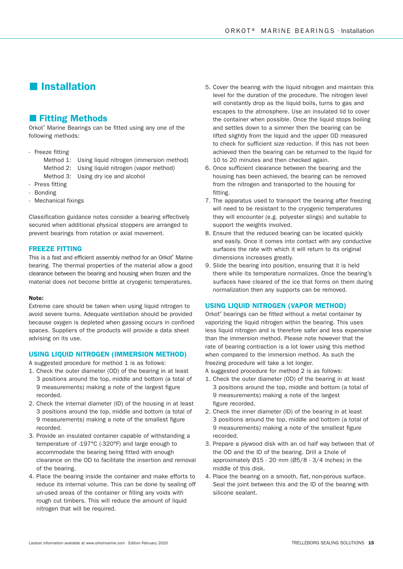## **I**Installation

#### **Fitting Methods**

Orkot<sup>®</sup> Marine Bearings can be fitted using any one of the following methods:

- Freeze fitting
	- Method 1: Using liquid nitrogen (immersion method)
	- Method 2: Using liquid nitrogen (vapor method)
	- Method 3: Using dry ice and alcohol
- Press fitting
- Bonding
- Mechanical fixings

Classification guidance notes consider a bearing effectively secured when additional physical stoppers are arranged to prevent bearings from rotation or axial movement.

#### FREEZE FITTING

This is a fast and efficient assembly method for an Orkot® Marine bearing. The thermal properties of the material allow a good clearance between the bearing and housing when frozen and the material does not become brittle at cryogenic temperatures.

#### Note:

Extreme care should be taken when using liquid nitrogen to avoid severe burns. Adequate ventilation should be provided because oxygen is depleted when gassing occurs in confined spaces. Suppliers of the products will provide a data sheet advising on its use.

#### USING LIQUID NITROGEN (IMMERSION METHOD)

A suggested procedure for method 1 is as follows:

- 1. Check the outer diameter (OD) of the bearing in at least 3 positions around the top, middle and bottom (a total of 9 measurements) making a note of the largest figure recorded.
- 2. Check the internal diameter (ID) of the housing in at least 3 positions around the top, middle and bottom (a total of 9 measurements) making a note of the smallest figure recorded.
- 3. Provide an insulated container capable of withstanding a temperature of -197°C (-320°F) and large enough to accommodate the bearing being fitted with enough clearance on the OD to facilitate the insertion and removal of the bearing.
- 4. Place the bearing inside the container and make efforts to reduce its internal volume. This can be done by sealing off un-used areas of the container or filling any voids with rough cut timbers. This will reduce the amount of liquid nitrogen that will be required.
- 5. Cover the bearing with the liquid nitrogen and maintain this level for the duration of the procedure. The nitrogen level will constantly drop as the liquid boils, turns to gas and escapes to the atmosphere. Use an insulated lid to cover the container when possible. Once the liquid stops boiling and settles down to a simmer then the bearing can be lifted slightly from the liquid and the upper OD measured to check for sufficient size reduction. If this has not been achieved then the bearing can be returned to the liquid for 10 to 20 minutes and then checked again.
- 6. Once sufficient clearance between the bearing and the housing has been achieved, the bearing can be removed from the nitrogen and transported to the housing for fitting.
- 7. The apparatus used to transport the bearing after freezing will need to be resistant to the cryogenic temperatures they will encounter (e.g. polyester slings) and suitable to support the weights involved.
- 8. Ensure that the reduced bearing can be located quickly and easily. Once it comes into contact with any conductive surfaces the rate with which it will return to its original dimensions increases greatly.
- 9. Slide the bearing into position, ensuring that it is held there while its temperature normalizes. Once the bearing's surfaces have cleared of the ice that forms on them during normalization then any supports can be removed.

#### USING LIQUID NITROGEN (VAPOR METHOD)

Orkot® bearings can be fitted without a metal container by vaporizing the liquid nitrogen within the bearing. This uses less liquid nitrogen and is therefore safer and less expensive than the immersion method. Please note however that the rate of bearing contraction is a lot lower using this method when compared to the immersion method. As such the freezing procedure will take a lot longer.

A suggested procedure for method 2 is as follows:

- 1. Check the outer diameter (OD) of the bearing in at least 3 positions around the top, middle and bottom (a total of 9 measurements) making a note of the largest figure recorded.
- 2. Check the inner diameter (ID) of the bearing in at least 3 positions around the top, middle and bottom (a total of 9 measurements) making a note of the smallest figure recorded.
- 3. Prepare a plywood disk with an od half way between that of the OD and the ID of the bearing. Drill a 1hole of approximately Ø15 - 20 mm (Ø5/8 - 3/4 inches) in the middle of this disk.
- 4. Place the bearing on a smooth, flat, non-porous surface. Seal the joint between this and the ID of the bearing with silicone sealant.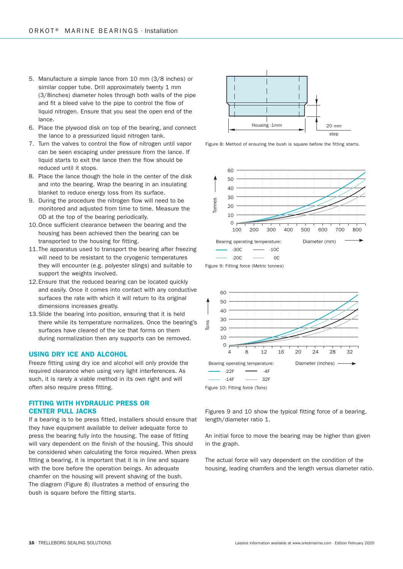- 5. Manufacture a simple lance from 10 mm (3/8 inches) or similar copper tube. Drill approximately twenty 1 mm (3/8inches) diameter holes through both walls of the pipe and fit a bleed valve to the pipe to control the flow of liquid nitrogen. Ensure that you seal the open end of the lance.
- 6. Place the plywood disk on top of the bearing, and connect the lance to a pressurized liquid nitrogen tank.
- 7. Turn the valves to control the flow of nitrogen until vapor can be seen escaping under pressure from the lance. If liquid starts to exit the lance then the flow should be reduced until it stops.
- 8. Place the lance though the hole in the center of the disk and into the bearing. Wrap the bearing in an insulating blanket to reduce energy loss from its surface.
- 9. During the procedure the nitrogen flow will need to be monitored and adjusted from time to time. Measure the OD at the top of the bearing periodically.
- 10. Once sufficient clearance between the bearing and the housing has been achieved then the bearing can be transported to the housing for fitting.
- 11. The apparatus used to transport the bearing after freezing will need to be resistant to the cryogenic temperatures they will encounter (e.g. polyester slings) and suitable to support the weights involved.
- 12. Ensure that the reduced bearing can be located quickly and easily. Once it comes into contact with any conductive surfaces the rate with which it will return to its original dimensions increases greatly.
- 13. Slide the bearing into position, ensuring that it is held there while its temperature normalizes. Once the bearing's surfaces have cleared of the ice that forms on them during normalization then any supports can be removed.

#### USING DRY ICE AND ALCOHOL

Freeze fitting using dry ice and alcohol will only provide the required clearance when using very light interferences. As such, it is rarely a viable method in its own right and will often also require press fitting.

#### FITTING WITH HYDRAULIC PRESS OR CENTER PULL JACKS

If a bearing is to be press fitted, installers should ensure that they have equipment available to deliver adequate force to press the bearing fully into the housing. The ease of fitting will vary dependent on the finish of the housing. This should be considered when calculating the force required. When press fitting a bearing, it is important that it is in line and square with the bore before the operation beings. An adequate chamfer on the housing will prevent shaving of the bush. The diagram (Figure 8) illustrates a method of ensuring the bush is square before the fitting starts.



Figure 8: Method of ensuring the bush is square before the fitting starts.



Figure 9: Fitting force (Metric tonnes)



Figure 10: Fitting force (Tons)

Figures 9 and 10 show the typical fitting force of a bearing, length/diameter ratio 1.

An initial force to move the bearing may be higher than given in the graph.

The actual force will vary dependent on the condition of the housing, leading chamfers and the length versus diameter ratio.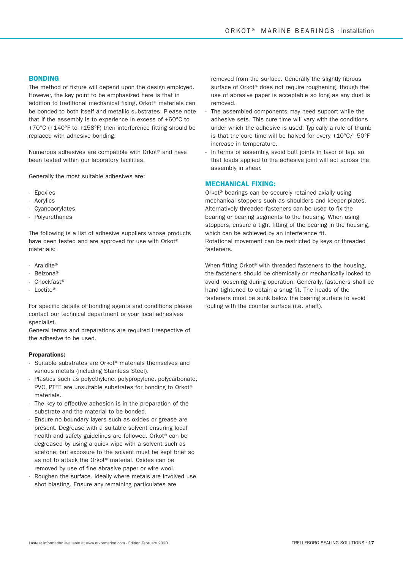#### BONDING

The method of fixture will depend upon the design employed. However, the key point to be emphasized here is that in addition to traditional mechanical fixing, Orkot® materials can be bonded to both itself and metallic substrates. Please note that if the assembly is to experience in excess of +60°C to +70°C (+140°F to +158°F) then interference fitting should be replaced with adhesive bonding.

Numerous adhesives are compatible with Orkot® and have been tested within our laboratory facilities.

Generally the most suitable adhesives are:

- Epoxies
- Acrylics
- Cyanoacrylates
- Polyurethanes

The following is a list of adhesive suppliers whose products have been tested and are approved for use with Orkot® materials:

- Araldite®
- Belzona®
- Chockfast®
- Loctite®

For specific details of bonding agents and conditions please contact our technical department or your local adhesives specialist.

General terms and preparations are required irrespective of the adhesive to be used.

#### Preparations:

- Suitable substrates are Orkot® materials themselves and various metals (including Stainless Steel).
- Plastics such as polyethylene, polypropylene, polycarbonate, PVC, PTFE are unsuitable substrates for bonding to Orkot® materials.
- The key to effective adhesion is in the preparation of the substrate and the material to be bonded.
- Ensure no boundary layers such as oxides or grease are present. Degrease with a suitable solvent ensuring local health and safety guidelines are followed. Orkot® can be degreased by using a quick wipe with a solvent such as acetone, but exposure to the solvent must be kept brief so as not to attack the Orkot® material. Oxides can be removed by use of fine abrasive paper or wire wool.
- Roughen the surface. Ideally where metals are involved use shot blasting. Ensure any remaining particulates are

removed from the surface. Generally the slightly fibrous surface of Orkot<sup>®</sup> does not require roughening, though the use of abrasive paper is acceptable so long as any dust is removed.

- The assembled components may need support while the adhesive sets. This cure time will vary with the conditions under which the adhesive is used. Typically a rule of thumb is that the cure time will be halved for every +10°C/+50°F increase in temperature.
- In terms of assembly, avoid butt joints in favor of lap, so that loads applied to the adhesive joint will act across the assembly in shear.

#### MECHANICAL FIXING:

Orkot® bearings can be securely retained axially using mechanical stoppers such as shoulders and keeper plates. Alternatively threaded fasteners can be used to fix the bearing or bearing segments to the housing. When using stoppers, ensure a tight fitting of the bearing in the housing, which can be achieved by an interference fit. Rotational movement can be restricted by keys or threaded fasteners.

When fitting Orkot® with threaded fasteners to the housing, the fasteners should be chemically or mechanically locked to avoid loosening during operation. Generally, fasteners shall be hand tightened to obtain a snug fit. The heads of the fasteners must be sunk below the bearing surface to avoid fouling with the counter surface (i.e. shaft).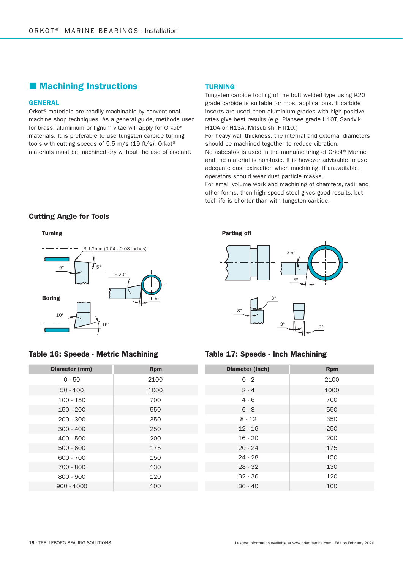## **Machining Instructions**

#### **GENERAL**

Orkot® materials are readily machinable by conventional machine shop techniques. As a general guide, methods used for brass, aluminium or lignum vitae will apply for Orkot® materials. It is preferable to use tungsten carbide turning tools with cutting speeds of 5.5 m/s (19 ft/s). Orkot® materials must be machined dry without the use of coolant.

#### TURNING

Tungsten carbide tooling of the butt welded type using K20 grade carbide is suitable for most applications. If carbide inserts are used, then aluminium grades with high positive rates give best results (e.g. Plansee grade H10T, Sandvik H10A or H13A, Mitsubishi HTI10.) For heavy wall thickness, the internal and external diameters should be machined together to reduce vibration. No asbestos is used in the manufacturing of Orkot® Marine and the material is non-toxic. It is however advisable to use adequate dust extraction when machining. If unavailable, operators should wear dust particle masks. For small volume work and machining of chamfers, radii and other forms, then high speed steel gives good results, but

tool life is shorter than with tungsten carbide.

#### Cutting Angle for Tools



#### Table 16: Speeds - Metric Machining Table 17: Speeds - Inch Machining

| Diameter (mm) | <b>Rpm</b> |
|---------------|------------|
| $0 - 50$      | 2100       |
| $50 - 100$    | 1000       |
| $100 - 150$   | 700        |
| $150 - 200$   | 550        |
| $200 - 300$   | 350        |
| $300 - 400$   | 250        |
| $400 - 500$   | 200        |
| $500 - 600$   | 175        |
| 600 - 700     | 150        |
| 700 - 800     | 130        |
| $800 - 900$   | 120        |
| $900 - 1000$  | 100        |





| Diameter (inch) | <b>Rpm</b> |
|-----------------|------------|
| $0 - 2$         | 2100       |
| $2 - 4$         | 1000       |
| $4 - 6$         | 700        |
| $6 - 8$         | 550        |
| $8 - 12$        | 350        |
| $12 - 16$       | 250        |
| $16 - 20$       | 200        |
| $20 - 24$       | 175        |
| $24 - 28$       | 150        |
| $28 - 32$       | 130        |
| $32 - 36$       | 120        |
| $36 - 40$       | 100        |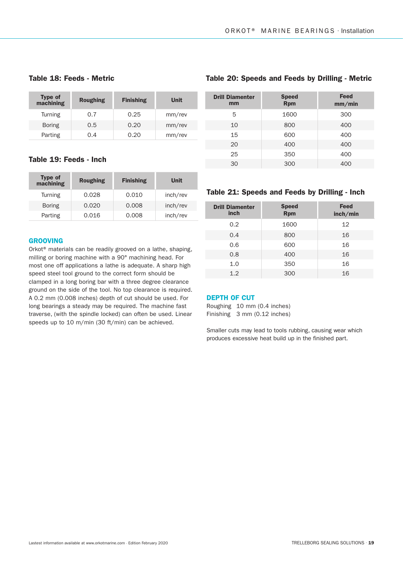#### Table 18: Feeds - Metric

| Type of<br>machining | <b>Roughing</b> | <b>Finishing</b> | Unit   |
|----------------------|-----------------|------------------|--------|
| Turning              | 0.7             | 0.25             | mm/rev |
| <b>Boring</b>        | 0.5             | 0.20             | mm/rev |
| Parting              | 0.4             | 0.20             | mm/rev |

#### Table 19: Feeds - Inch

| <b>Type of</b><br>$m_{\rm }$ <sub>a</sub> chining | <b>Roughing</b> | <b>Finishing</b> | Unit     |
|---------------------------------------------------|-----------------|------------------|----------|
| <b>Turning</b>                                    | 0.028           | 0.010            | inch/rev |
| <b>Boring</b>                                     | 0.020           | 0.008            | inch/rev |
| Parting                                           | 0.016           | 0.008            | inch/rev |

#### GROOVING

Orkot® materials can be readily grooved on a lathe, shaping, milling or boring machine with a 90° machining head. For most one off applications a lathe is adequate. A sharp high speed steel tool ground to the correct form should be clamped in a long boring bar with a three degree clearance ground on the side of the tool. No top clearance is required. A 0.2 mm (0.008 inches) depth of cut should be used. For long bearings a steady may be required. The machine fast traverse, (with the spindle locked) can often be used. Linear speeds up to 10 m/min (30 ft/min) can be achieved.

### Table 20: Speeds and Feeds by Drilling - Metric

| <b>Drill Diamenter</b><br>mm | <b>Speed</b><br><b>Rpm</b> | <b>Feed</b><br>mm/min |
|------------------------------|----------------------------|-----------------------|
| 5                            | 1600                       | 300                   |
| 10                           | 800                        | 400                   |
| 15                           | 600                        | 400                   |
| 20                           | 400                        | 400                   |
| 25                           | 350                        | 400                   |
| 30                           | 300                        | 400                   |

#### Table 21: Speeds and Feeds by Drilling - Inch

| <b>Drill Diamenter</b><br>inch | <b>Speed</b><br><b>Rpm</b> | <b>Feed</b><br>inch/min |
|--------------------------------|----------------------------|-------------------------|
| 0.2                            | 1600                       | 12                      |
| 0.4                            | 800                        | 16                      |
| 0.6                            | 600                        | 16                      |
| 0.8                            | 400                        | 16                      |
| 1.0                            | 350                        | 16                      |
| 1.2                            | 300                        | 16                      |

#### DEPTH OF CUT

Roughing 10 mm (0.4 inches) Finishing 3 mm (0.12 inches)

Smaller cuts may lead to tools rubbing, causing wear which produces excessive heat build up in the finished part.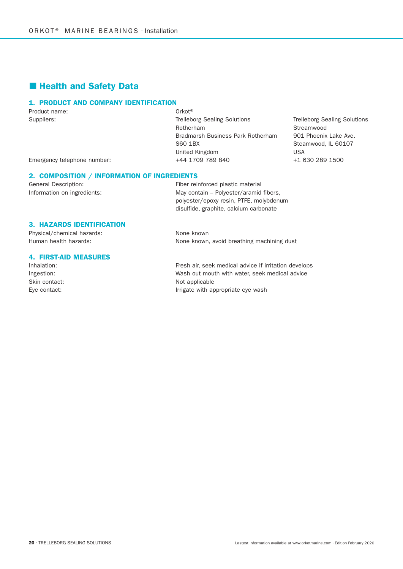## **Health and Safety Data**

#### 1. PRODUCT AND COMPANY IDENTIFICATION

Product name: Contract Contract Contract Contract Contract Contract Contract Contract Contract Contract Contract Contract Contract Contract Contract Contract Contract Contract Contract Contract Contract Contract Contract C

Suppliers: Trelleborg Sealing Solutions Trelleborg Sealing Solutions Rotherham and the Streamwood Rotherham and the Streamwood Streamwood Bradmarsh Business Park Rotherham 901 Phoenix Lake Ave. S60 1BX Steamwood, IL 60107 United Kingdom **USA** Emergency telephone number:  $+44 1709 789 840$   $+1 630 289 1500$ 

#### 2. COMPOSITION / INFORMATION OF INGREDIENTS

General Description: The relation of Fiber reinforced plastic material Information on ingredients: May contain – Polyester/aramid fibers, polyester/epoxy resin, PTFE, molybdenum disulfide, graphite, calcium carbonate

#### 3. HAZARDS IDENTIFICATION

Physical/chemical hazards: None known Human health hazards: None known, avoid breathing machining dust

#### 4. FIRST-AID MEASURES

Inhalation: The Inhalation: Fresh air, seek medical advice if irritation develops Ingestion: Wash out mouth with water, seek medical advice Skin contact: Not applicable Eye contact: The Contact of the Contact: Irrigate with appropriate eye wash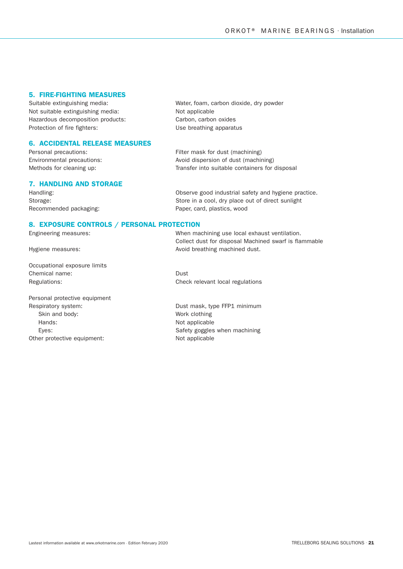#### 5. FIRE-FIGHTING MEASURES

Not suitable extinguishing media: Not applicable Hazardous decomposition products: Carbon, carbon oxides Protection of fire fighters: Vise breathing apparatus

#### 6. ACCIDENTAL RELEASE MEASURES

#### 7. HANDLING AND STORAGE

Suitable extinguishing media: Water, foam, carbon dioxide, dry powder

Personal precautions: The example of the Filter mask for dust (machining) Environmental precautions: Avoid dispersion of dust (machining) Methods for cleaning up: Transfer into suitable containers for disposal

Handling: Observe good industrial safety and hygiene practice. Storage: Store in a cool, dry place out of direct sunlight Recommended packaging: example and paper, card, plastics, wood

#### 8. EXPOSURE CONTROLS / PERSONAL PROTECTION

Occupational exposure limits Chemical name: Dust Regulations: The Check relevant local regulations and Check relevant local regulations

Personal protective equipment Respiratory system: The Controller of the Dust mask, type FFP1 minimum Skin and body: Work clothing Hands: Not applicable Other protective equipment: Not applicable

Engineering measures: When machining use local exhaust ventilation. Collect dust for disposal Machined swarf is flammable Hygiene measures:  $\blacksquare$ 

Eyes: Eyes: Exercise when machining Safety goggles when machining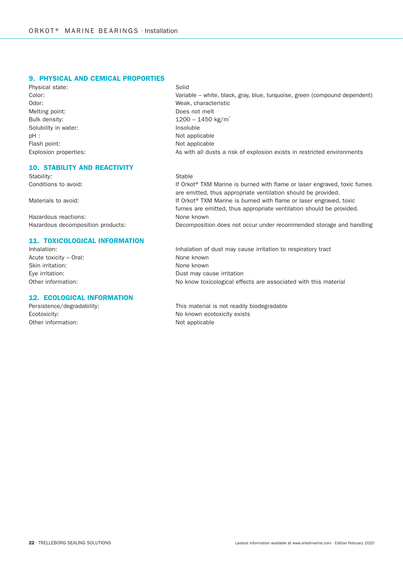#### 9. PHYSICAL AND CEMICAL PROPORTIES

Physical state: Solid Odor: Weak, characteristic Melting point: Does not melt Bulk density:  $1200 - 1450 \text{ kg/m}^3$ Solubility in water: **Insoluble** Insoluble pH : Not applicable Flash point: Not applicable

#### 10. STABILITY AND REACTIVITY

Stability: Stable

Hazardous reactions: None known

#### 11. TOXICOLOGICAL INFORMATION

Acute toxicity – Oral: None known Skin irritation: None known

#### 12. ECOLOGICAL INFORMATION

Other information: Not applicable

Color: Variable – white, black, gray, blue, turquoise, green (compound dependent) Explosion properties: As with all dusts a risk of explosion exists in restricted environments

Conditions to avoid: If Orkot® TXM Marine is burned with flame or laser engraved, toxic fumes are emitted, thus appropriate ventilation should be provided. Materials to avoid: If Orkot® TXM Marine is burned with flame or laser engraved, toxic fumes are emitted, thus appropriate ventilation should be provided. Hazardous decomposition products: Decomposition does not occur under recommended storage and handling

Inhalation: Inhalation of dust may cause irritation to respiratory tract Eye irritation: Contract may cause in the Dust may cause irritation Other information: No know toxicological effects are associated with this material

Persistence/degradability: This material is not readily biodegradable Ecotoxicity: Ecotoxicity: No known ecotoxicity exists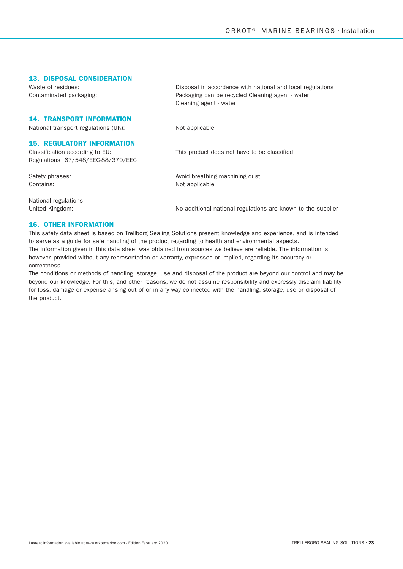#### 13. DISPOSAL CONSIDERATION

Waste of residues: The Contract of residues: Disposal in accordance with national and local regulations Contaminated packaging: Packaging can be recycled Cleaning agent - water

#### 14. TRANSPORT INFORMATION

National transport regulations (UK): Not applicable

Cleaning agent - water

#### 15. REGULATORY INFORMATION

Classification according to EU: This product does not have to be classified Regulations 67/548/EEC-88/379/EEC

Safety phrases:  $\overline{\phantom{a}}$  Avoid breathing machining dust Contains: Not applicable

National regulations

United Kingdom: No additional national regulations are known to the supplier

#### 16. OTHER INFORMATION

This safety data sheet is based on Trellborg Sealing Solutions present knowledge and experience, and is intended to serve as a guide for safe handling of the product regarding to health and environmental aspects. The information given in this data sheet was obtained from sources we believe are reliable. The information is, however, provided without any representation or warranty, expressed or implied, regarding its accuracy or correctness.

The conditions or methods of handling, storage, use and disposal of the product are beyond our control and may be beyond our knowledge. For this, and other reasons, we do not assume responsibility and expressly disclaim liability for loss, damage or expense arising out of or in any way connected with the handling, storage, use or disposal of the product.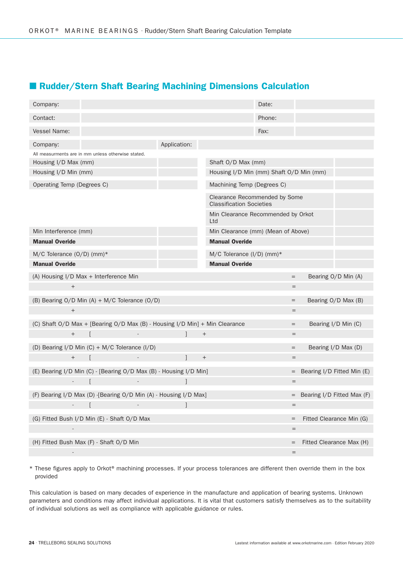## ■ Rudder/Stern Shaft Bearing Machining Dimensions Calculation

| Company:                                                                    |                                    |                                                                  | Date:  |                                   |
|-----------------------------------------------------------------------------|------------------------------------|------------------------------------------------------------------|--------|-----------------------------------|
| Contact:                                                                    |                                    |                                                                  | Phone: |                                   |
| Vessel Name:                                                                |                                    |                                                                  | Fax:   |                                   |
| Company:                                                                    | Application:                       |                                                                  |        |                                   |
| All measurments are in mm unless otherwise stated.                          |                                    |                                                                  |        |                                   |
| Housing I/D Max (mm)                                                        |                                    | Shaft O/D Max (mm)                                               |        |                                   |
| Housing I/D Min (mm)                                                        |                                    | Housing I/D Min (mm) Shaft O/D Min (mm)                          |        |                                   |
| Operating Temp (Degrees C)                                                  |                                    | Machining Temp (Degrees C)                                       |        |                                   |
|                                                                             |                                    | Clearance Recommended by Some<br><b>Classification Societies</b> |        |                                   |
|                                                                             |                                    | Min Clearance Recommended by Orkot<br>Ltd                        |        |                                   |
| Min Interference (mm)                                                       | Min Clearance (mm) (Mean of Above) |                                                                  |        |                                   |
| <b>Manual Overide</b>                                                       |                                    | <b>Manual Overide</b>                                            |        |                                   |
| M/C Tolerance (O/D) (mm)*                                                   |                                    | M/C Tolerance (I/D) (mm)*                                        |        |                                   |
| <b>Manual Overide</b>                                                       |                                    | <b>Manual Overide</b>                                            |        |                                   |
| (A) Housing I/D Max + Interference Min                                      |                                    |                                                                  |        | Bearing O/D Min (A)<br>$=$        |
| $\! +$                                                                      |                                    |                                                                  |        | $=$                               |
| (B) Bearing $O/D$ Min $(A) + M/C$ Tolerance $(O/D)$                         |                                    |                                                                  |        | Bearing O/D Max (B)<br>$=$        |
| $\qquad \qquad +$                                                           |                                    |                                                                  |        | $=$                               |
| (C) Shaft O/D Max + [Bearing O/D Max (B) - Housing I/D Min] + Min Clearance |                                    |                                                                  |        | Bearing I/D Min (C)<br>$=$        |
| $\! + \!\!\!\!$                                                             |                                    | $^{+}$                                                           |        | $=$                               |
| (D) Bearing I/D Min (C) + M/C Tolerance (I/D)                               |                                    |                                                                  |        | Bearing I/D Max (D)<br>$=$        |
| $^+$                                                                        | 1                                  | $^{+}$                                                           |        | $=$                               |
| (E) Bearing I/D Min (C) - [Bearing O/D Max (B) - Housing I/D Min]           |                                    |                                                                  |        | Bearing I/D Fitted Min (E)<br>$=$ |
| $\blacksquare$<br>$\sim$                                                    |                                    |                                                                  |        | $=$                               |
| (F) Bearing I/D Max (D) -[Bearing O/D Min (A) - Housing I/D Max]            |                                    |                                                                  |        | $=$ Bearing I/D Fitted Max (F)    |
|                                                                             |                                    |                                                                  |        | =                                 |
| (G) Fitted Bush I/D Min (E) - Shaft O/D Max                                 |                                    |                                                                  |        | Fitted Clearance Min (G)<br>$=$   |
|                                                                             |                                    |                                                                  |        | $=$                               |
| (H) Fitted Bush Max (F) - Shaft O/D Min                                     |                                    |                                                                  |        | Fitted Clearance Max (H)          |
| $\overline{a}$                                                              |                                    |                                                                  |        | $\quad =$                         |

\* These figures apply to Orkot® machining processes. If your process tolerances are different then override them in the box provided

This calculation is based on many decades of experience in the manufacture and application of bearing systems. Unknown parameters and conditions may affect individual applications. It is vital that customers satisfy themselves as to the suitability of individual solutions as well as compliance with applicable guidance or rules.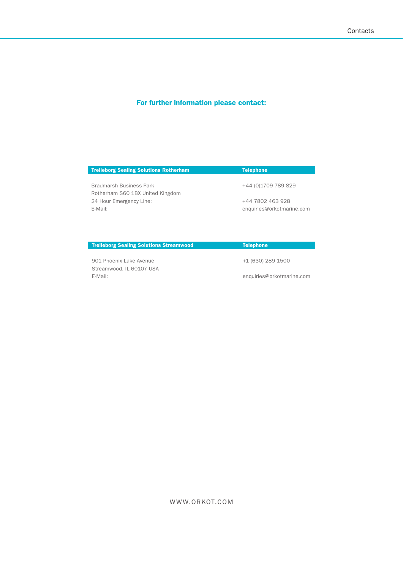## For further information please contact:

| +44 (0)1709 789 829       |
|---------------------------|
|                           |
| +44 7802 463 928          |
| enquiries@orkotmarine.com |
|                           |

**Trelleborg Sealing Solutions Streamwood Telephone** 

901 Phoenix Lake Avenue +1 (630) 289 1500 Streamwood, IL 60107 USA E-Mail: enquiries@orkotmarine.com